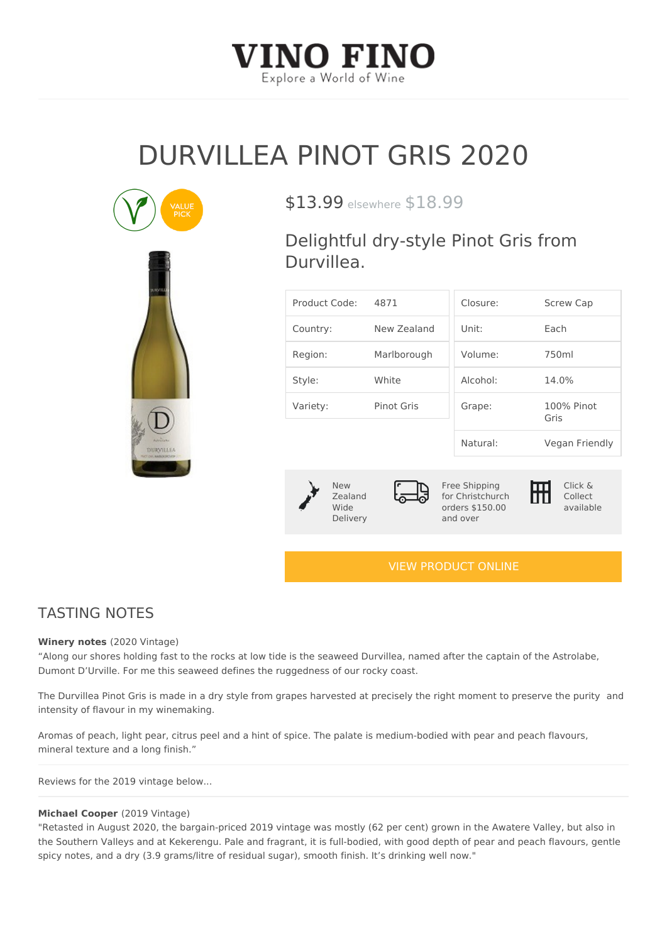# DURVILLEA PINOT GRIS 20

# $$13.99$ sewhere  $18.99$

Delightful dry-style Pinot Gris f Durvillea.

| Product Code4:871 |                     | Closure:                         | Screw Cap          |
|-------------------|---------------------|----------------------------------|--------------------|
| Country:          | New Zealand Unit:   |                                  | $E$ a c h          |
| Region:           | Marlborough Volume: |                                  | $750$ m l          |
| Style:            | White               | $A$   $C$ $O$ $h$ $O$   $\colon$ | 14.0%              |
| Variety:          | Pinot Gris          | Grape:                           | 100% Pinot<br>Gris |
|                   |                     | Natural:                         | Vegan Friendly     |

New Zealand Wide Delivery Free Shipping for Christchurch orders \$150.00 and over

Click & Collect available

### [VIEW PRODUCT ONLINE](https://vinofino.co.nz/product/durvillea-pinot-gris-2020/)

## TASTING NOTES

Winery note $(2020$  Vintage)

Along our shores holding fast to the rocks at low tide is the seaweed Durvillea, named after th Dumont D Urville. For me this seaweed defines the ruggedness of our rocky coast.

The Durvillea Pinot Gris is made in a dry style from grapes harvested at precisely the airgcht mor intensity of flavour in my winemaking.

Aromas of peach, light pear, citrus peel and a hint of spice. The palate is medium-bodied with pear and pear and pear and pear and pear and pear and pear and pear and pear and pear and pear and pear and pear and pear and p mineral texture and a long finish.

Reviews for the 2019 vintage below...

#### Michael Coop@2019 Vintage)

"Retasted in August 2020, the bargain-priced 2019 vintage was mostly (62 per cent) grown in th the Southern Valleys and at Kekerengu. Pale and fragrant, it is full-bodied, with good depth of spicy notes, and a dry (3.9 grams/litre of residual sugar), smooth finish. It s drinking well now."